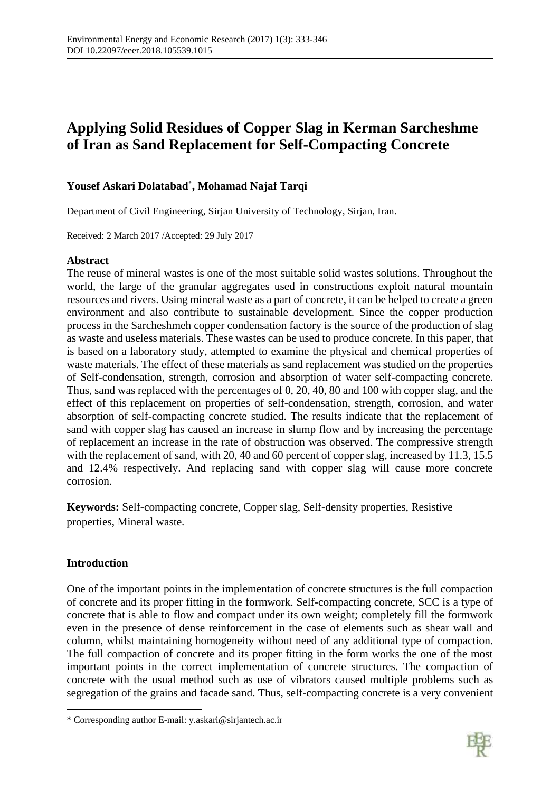# **Applying Solid Residues of Copper Slag in Kerman Sarcheshme of Iran as Sand Replacement for Self-Compacting Concrete**

# **Yousef Askari Dolatabad\* , Mohamad Najaf Tarqi**

Department of Civil Engineering, Sirjan University of Technology, Sirjan, Iran.

Received: 2 March 2017 /Accepted: 29 July 2017

# **Abstract**

The reuse of mineral wastes is one of the most suitable solid wastes solutions. Throughout the world, the large of the granular aggregates used in constructions exploit natural mountain resources and rivers. Using mineral waste as a part of concrete, it can be helped to create a green environment and also contribute to sustainable development. Since the copper production process in the Sarcheshmeh copper condensation factory is the source of the production of slag as waste and useless materials. These wastes can be used to produce concrete. In this paper, that is based on a laboratory study, attempted to examine the physical and chemical properties of waste materials. The effect of these materials as sand replacement was studied on the properties of Self-condensation, strength, corrosion and absorption of water self-compacting concrete. Thus, sand was replaced with the percentages of 0, 20, 40, 80 and 100 with copper slag, and the effect of this replacement on properties of self-condensation, strength, corrosion, and water absorption of self-compacting concrete studied. The results indicate that the replacement of sand with copper slag has caused an increase in slump flow and by increasing the percentage of replacement an increase in the rate of obstruction was observed. The compressive strength with the replacement of sand, with 20, 40 and 60 percent of copper slag, increased by 11.3, 15.5 and 12.4% respectively. And replacing sand with copper slag will cause more concrete corrosion.

**Keywords:** Self-compacting concrete, Copper slag, Self-density properties, Resistive properties, Mineral waste.

# **Introduction**

**.** 

One of the important points in the implementation of concrete structures is the full compaction of concrete and its proper fitting in the formwork. Self-compacting concrete, SCC is a type of concrete that is able to flow and compact under its own weight; completely fill the formwork even in the presence of dense reinforcement in the case of elements such as shear wall and column, whilst maintaining homogeneity without need of any additional type of compaction. The full compaction of concrete and its proper fitting in the form works the one of the most important points in the correct implementation of concrete structures. The compaction of concrete with the usual method such as use of vibrators caused multiple problems such as segregation of the grains and facade sand. Thus, self-compacting concrete is a very convenient



<sup>\*</sup> Corresponding author E-mail: y.askari@sirjantech.ac.ir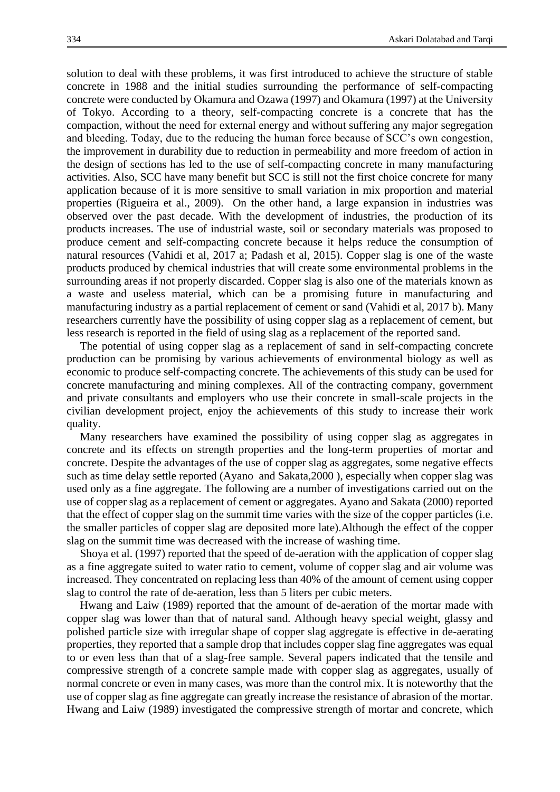solution to deal with these problems, it was first introduced to achieve the structure of stable concrete in 1988 and the initial studies surrounding the performance of self-compacting concrete were conducted by Okamura and Ozawa (1997) and Okamura (1997) at the University of Tokyo. According to a theory, self-compacting concrete is a concrete that has the compaction, without the need for external energy and without suffering any major segregation and bleeding. Today, due to the reducing the human force because of SCC's own congestion, the improvement in durability due to reduction in permeability and more freedom of action in the design of sections has led to the use of self-compacting concrete in many manufacturing activities. Also, SCC have many benefit but SCC is still not the first choice concrete for many application because of it is more sensitive to small variation in mix proportion and material properties (Rigueira et al., 2009). On the other hand, a large expansion in industries was observed over the past decade. With the development of industries, the production of its products increases. The use of industrial waste, soil or secondary materials was proposed to produce cement and self-compacting concrete because it helps reduce the consumption of natural resources (Vahidi et al, 2017 a; Padash et al, 2015). Copper slag is one of the waste products produced by chemical industries that will create some environmental problems in the surrounding areas if not properly discarded. Copper slag is also one of the materials known as a waste and useless material, which can be a promising future in manufacturing and manufacturing industry as a partial replacement of cement or sand (Vahidi et al, 2017 b). Many researchers currently have the possibility of using copper slag as a replacement of cement, but less research is reported in the field of using slag as a replacement of the reported sand.

The potential of using copper slag as a replacement of sand in self-compacting concrete production can be promising by various achievements of environmental biology as well as economic to produce self-compacting concrete. The achievements of this study can be used for concrete manufacturing and mining complexes. All of the contracting company, government and private consultants and employers who use their concrete in small-scale projects in the civilian development project, enjoy the achievements of this study to increase their work quality.

Many researchers have examined the possibility of using copper slag as aggregates in concrete and its effects on strength properties and the long-term properties of mortar and concrete. Despite the advantages of the use of copper slag as aggregates, some negative effects such as time delay settle reported (Ayano and Sakata,2000 ), especially when copper slag was used only as a fine aggregate. The following are a number of investigations carried out on the use of copper slag as a replacement of cement or aggregates. Ayano and Sakata (2000) reported that the effect of copper slag on the summit time varies with the size of the copper particles (i.e. the smaller particles of copper slag are deposited more late).Although the effect of the copper slag on the summit time was decreased with the increase of washing time.

Shoya et al. (1997) reported that the speed of de-aeration with the application of copper slag as a fine aggregate suited to water ratio to cement, volume of copper slag and air volume was increased. They concentrated on replacing less than 40% of the amount of cement using copper slag to control the rate of de-aeration, less than 5 liters per cubic meters.

Hwang and Laiw (1989) reported that the amount of de-aeration of the mortar made with copper slag was lower than that of natural sand. Although heavy special weight, glassy and polished particle size with irregular shape of copper slag aggregate is effective in de-aerating properties, they reported that a sample drop that includes copper slag fine aggregates was equal to or even less than that of a slag-free sample. Several papers indicated that the tensile and compressive strength of a concrete sample made with copper slag as aggregates, usually of normal concrete or even in many cases, was more than the control mix. It is noteworthy that the use of copper slag as fine aggregate can greatly increase the resistance of abrasion of the mortar. Hwang and Laiw (1989) investigated the compressive strength of mortar and concrete, which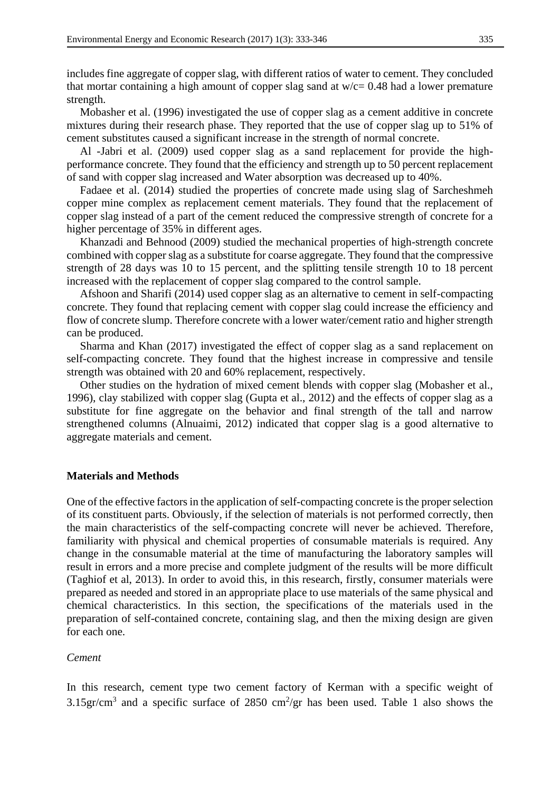includes fine aggregate of copper slag, with different ratios of water to cement. They concluded that mortar containing a high amount of copper slag sand at  $w/c = 0.48$  had a lower premature strength.

Mobasher et al. (1996) investigated the use of copper slag as a cement additive in concrete mixtures during their research phase. They reported that the use of copper slag up to 51% of cement substitutes caused a significant increase in the strength of normal concrete.

Al -Jabri et al. (2009) used copper slag as a sand replacement for provide the highperformance concrete. They found that the efficiency and strength up to 50 percent replacement of sand with copper slag increased and Water absorption was decreased up to 40%.

Fadaee et al. (2014) studied the properties of concrete made using slag of Sarcheshmeh copper mine complex as replacement cement materials. They found that the replacement of copper slag instead of a part of the cement reduced the compressive strength of concrete for a higher percentage of 35% in different ages.

Khanzadi and Behnood (2009) studied the mechanical properties of high-strength concrete combined with copper slag as a substitute for coarse aggregate. They found that the compressive strength of 28 days was 10 to 15 percent, and the splitting tensile strength 10 to 18 percent increased with the replacement of copper slag compared to the control sample.

Afshoon and Sharifi (2014) used copper slag as an alternative to cement in self-compacting concrete. They found that replacing cement with copper slag could increase the efficiency and flow of concrete slump. Therefore concrete with a lower water/cement ratio and higher strength can be produced.

Sharma and Khan (2017) investigated the effect of copper slag as a sand replacement on self-compacting concrete. They found that the highest increase in compressive and tensile strength was obtained with 20 and 60% replacement, respectively.

Other studies on the hydration of mixed cement blends with copper slag (Mobasher et al., 1996), clay stabilized with copper slag (Gupta et al., 2012) and the effects of copper slag as a substitute for fine aggregate on the behavior and final strength of the tall and narrow strengthened columns (Alnuaimi, 2012) indicated that copper slag is a good alternative to aggregate materials and cement.

#### **Materials and Methods**

One of the effective factors in the application of self-compacting concrete is the proper selection of its constituent parts. Obviously, if the selection of materials is not performed correctly, then the main characteristics of the self-compacting concrete will never be achieved. Therefore, familiarity with physical and chemical properties of consumable materials is required. Any change in the consumable material at the time of manufacturing the laboratory samples will result in errors and a more precise and complete judgment of the results will be more difficult (Taghiof et al, 2013). In order to avoid this, in this research, firstly, consumer materials were prepared as needed and stored in an appropriate place to use materials of the same physical and chemical characteristics. In this section, the specifications of the materials used in the preparation of self-contained concrete, containing slag, and then the mixing design are given for each one.

#### *Cement*

In this research, cement type two cement factory of Kerman with a specific weight of 3.15gr/cm<sup>3</sup> and a specific surface of 2850 cm<sup>2</sup>/gr has been used. Table 1 also shows the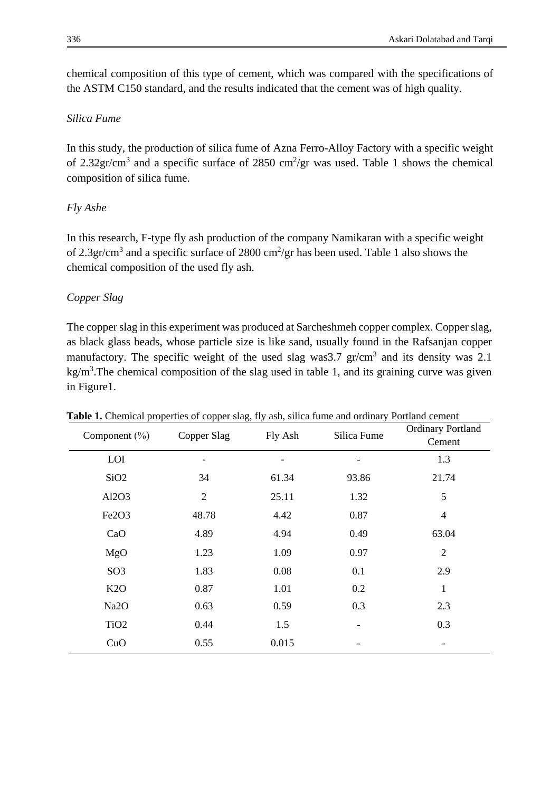chemical composition of this type of cement, which was compared with the specifications of the ASTM C150 standard, and the results indicated that the cement was of high quality.

# *Silica Fume*

In this study, the production of silica fume of Azna Ferro-Alloy Factory with a specific weight of 2.32gr/cm<sup>3</sup> and a specific surface of 2850 cm<sup>2</sup>/gr was used. Table 1 shows the chemical composition of silica fume.

# *Fly Ashe*

In this research, F-type fly ash production of the company Namikaran with a specific weight of 2.3gr/cm<sup>3</sup> and a specific surface of 2800 cm<sup>2</sup>/gr has been used. Table 1 also shows the chemical composition of the used fly ash.

# *Copper Slag*

The copper slag in this experiment was produced at Sarcheshmeh copper complex. Copper slag, as black glass beads, whose particle size is like sand, usually found in the Rafsanjan copper manufactory. The specific weight of the used slag was 3.7  $gr/cm<sup>3</sup>$  and its density was 2.1  $kg/m<sup>3</sup>$ . The chemical composition of the slag used in table 1, and its graining curve was given in Figure1.

| able 2. Chemieur properties or copper shag, hy ashi, sincu rume und orumany<br>Component $(\% )$ | Copper Slag    | Fly Ash | Silica Fume | 1 ortains centent<br><b>Ordinary Portland</b> |
|--------------------------------------------------------------------------------------------------|----------------|---------|-------------|-----------------------------------------------|
|                                                                                                  |                |         |             | Cement                                        |
| LOI                                                                                              |                |         |             | 1.3                                           |
| SiO <sub>2</sub>                                                                                 | 34             | 61.34   | 93.86       | 21.74                                         |
| Al2O3                                                                                            | $\overline{2}$ | 25.11   | 1.32        | 5                                             |
| Fe2O3                                                                                            | 48.78          | 4.42    | 0.87        | $\overline{4}$                                |
| CaO                                                                                              | 4.89           | 4.94    | 0.49        | 63.04                                         |
| MgO                                                                                              | 1.23           | 1.09    | 0.97        | $\overline{2}$                                |
| SO <sub>3</sub>                                                                                  | 1.83           | 0.08    | 0.1         | 2.9                                           |
| K2O                                                                                              | 0.87           | 1.01    | 0.2         | 1                                             |
| Na <sub>2</sub> O                                                                                | 0.63           | 0.59    | 0.3         | 2.3                                           |
| TiO <sub>2</sub>                                                                                 | 0.44           | 1.5     |             | 0.3                                           |
| CuO                                                                                              | 0.55           | 0.015   |             |                                               |

**Table 1.** Chemical properties of copper slag, fly ash, silica fume and ordinary Portland cement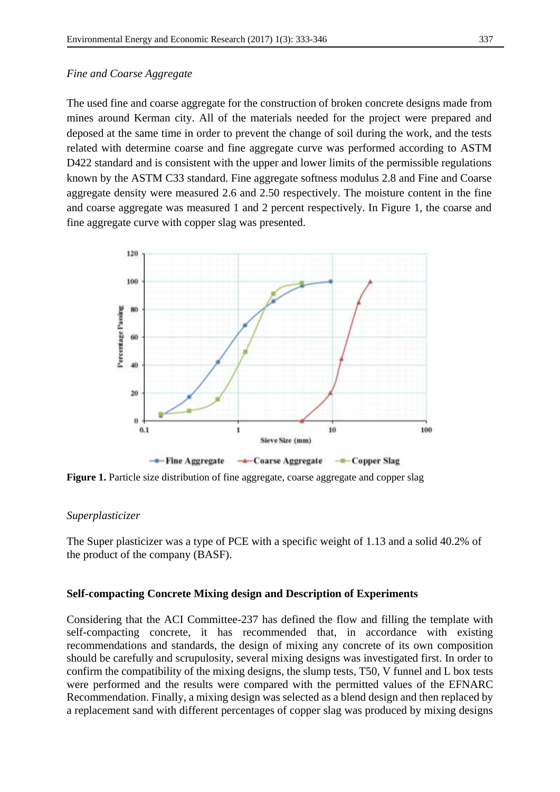## *Fine and Coarse Aggregate*

The used fine and coarse aggregate for the construction of broken concrete designs made from mines around Kerman city. All of the materials needed for the project were prepared and deposed at the same time in order to prevent the change of soil during the work, and the tests related with determine coarse and fine aggregate curve was performed according to ASTM D422 standard and is consistent with the upper and lower limits of the permissible regulations known by the ASTM C33 standard. Fine aggregate softness modulus 2.8 and Fine and Coarse aggregate density were measured 2.6 and 2.50 respectively. The moisture content in the fine and coarse aggregate was measured 1 and 2 percent respectively. In Figure 1, the coarse and fine aggregate curve with copper slag was presented.



**Figure 1.** Particle size distribution of fine aggregate, coarse aggregate and copper slag

## *Superplasticizer*

The Super plasticizer was a type of PCE with a specific weight of 1.13 and a solid 40.2% of the product of the company (BASF).

## **Self-compacting Concrete Mixing design and Description of Experiments**

Considering that the ACI Committee-237 has defined the flow and filling the template with self-compacting concrete, it has recommended that, in accordance with existing recommendations and standards, the design of mixing any concrete of its own composition should be carefully and scrupulosity, several mixing designs was investigated first. In order to confirm the compatibility of the mixing designs, the slump tests, T50, V funnel and L box tests were performed and the results were compared with the permitted values of the EFNARC Recommendation. Finally, a mixing design was selected as a blend design and then replaced by a replacement sand with different percentages of copper slag was produced by mixing designs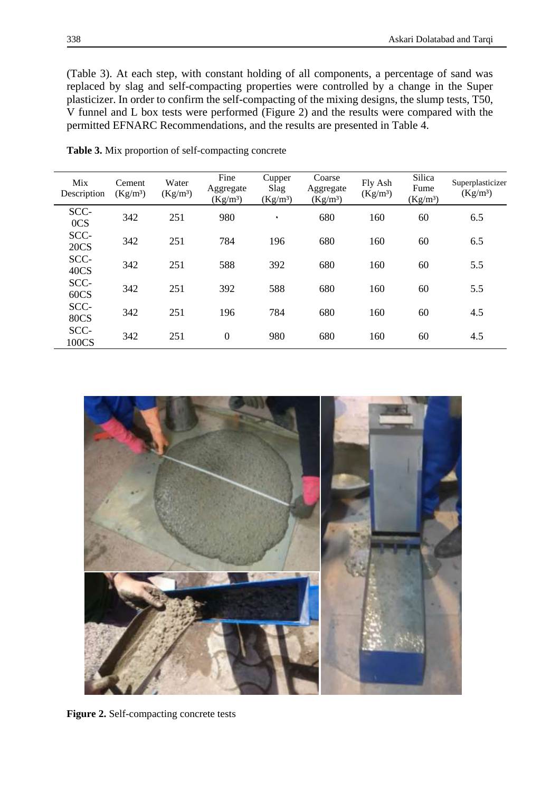(Table 3). At each step, with constant holding of all components, a percentage of sand was replaced by slag and self-compacting properties were controlled by a change in the Super plasticizer. In order to confirm the self-compacting of the mixing designs, the slump tests, T50, V funnel and L box tests were performed (Figure 2) and the results were compared with the permitted EFNARC Recommendations, and the results are presented in Table 4.

| Mix<br>Description  | Cement<br>(Kg/m <sup>3</sup> ) | Water<br>(Kg/m <sup>3</sup> ) | Fine<br>Aggregate<br>$(Kg/m^3)$ | Cupper<br>Slag<br>(Kg/m <sup>3</sup> ) | Coarse<br>Aggregate<br>$(Kg/m^3)$ | Fly Ash<br>(Kg/m <sup>3</sup> ) | Silica<br>Fume<br>$(Kg/m^3)$ | Superplasticizer<br>(Kg/m <sup>3</sup> ) |
|---------------------|--------------------------------|-------------------------------|---------------------------------|----------------------------------------|-----------------------------------|---------------------------------|------------------------------|------------------------------------------|
| SCC-<br>0CS         | 342                            | 251                           | 980                             | ٠                                      | 680                               | 160                             | 60                           | 6.5                                      |
| SCC-<br><b>20CS</b> | 342                            | 251                           | 784                             | 196                                    | 680                               | 160                             | 60                           | 6.5                                      |
| SCC-<br>40CS        | 342                            | 251                           | 588                             | 392                                    | 680                               | 160                             | 60                           | 5.5                                      |
| SCC-<br>60CS        | 342                            | 251                           | 392                             | 588                                    | 680                               | 160                             | 60                           | 5.5                                      |
| SCC-<br><b>80CS</b> | 342                            | 251                           | 196                             | 784                                    | 680                               | 160                             | 60                           | 4.5                                      |
| SCC-<br>100CS       | 342                            | 251                           | $\overline{0}$                  | 980                                    | 680                               | 160                             | 60                           | 4.5                                      |

**Table 3.** Mix proportion of self-compacting concrete



**Figure 2.** Self-compacting concrete tests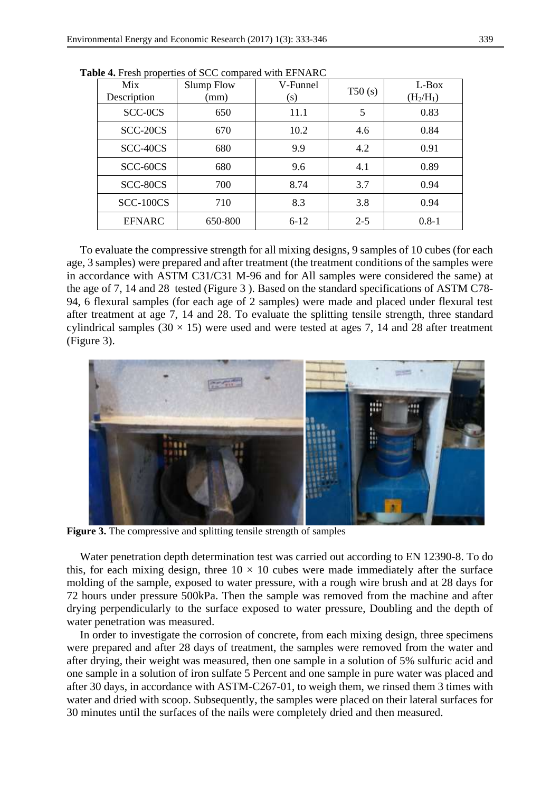| Mix<br>Description | <b>Slump Flow</b><br>(mm) | V-Funnel<br>(s) | T50(s)  | L-Box<br>$(H_2/H_1)$ |
|--------------------|---------------------------|-----------------|---------|----------------------|
| SCC-0CS            | 650                       | 11.1            | 5       | 0.83                 |
| SCC-20CS           | 670                       | 10.2            | 4.6     | 0.84                 |
| SCC-40CS           | 680                       | 9.9             | 4.2     | 0.91                 |
| SCC-60CS           | 680                       | 9.6             | 4.1     | 0.89                 |
| SCC-80CS           | 700                       | 8.74            | 3.7     | 0.94                 |
| <b>SCC-100CS</b>   | 710                       | 8.3             | 3.8     | 0.94                 |
| <b>EFNARC</b>      | 650-800                   | $6 - 12$        | $2 - 5$ | $0.8 - 1$            |

**Table 4.** Fresh properties of SCC compared with EFNARC

To evaluate the compressive strength for all mixing designs, 9 samples of 10 cubes (for each age, 3 samples) were prepared and after treatment (the treatment conditions of the samples were in accordance with ASTM C31/C31 M-96 and for All samples were considered the same) at the age of 7, 14 and 28 tested (Figure 3 ). Based on the standard specifications of ASTM C78- 94, 6 flexural samples (for each age of 2 samples) were made and placed under flexural test after treatment at age 7, 14 and 28. To evaluate the splitting tensile strength, three standard cylindrical samples (30  $\times$  15) were used and were tested at ages 7, 14 and 28 after treatment (Figure 3).



**Figure 3.** The compressive and splitting tensile strength of samples

Water penetration depth determination test was carried out according to EN 12390-8. To do this, for each mixing design, three  $10 \times 10$  cubes were made immediately after the surface molding of the sample, exposed to water pressure, with a rough wire brush and at 28 days for 72 hours under pressure 500kPa. Then the sample was removed from the machine and after drying perpendicularly to the surface exposed to water pressure, Doubling and the depth of water penetration was measured.

In order to investigate the corrosion of concrete, from each mixing design, three specimens were prepared and after 28 days of treatment, the samples were removed from the water and after drying, their weight was measured, then one sample in a solution of 5% sulfuric acid and one sample in a solution of iron sulfate 5 Percent and one sample in pure water was placed and after 30 days, in accordance with ASTM-C267-01, to weigh them, we rinsed them 3 times with water and dried with scoop. Subsequently, the samples were placed on their lateral surfaces for 30 minutes until the surfaces of the nails were completely dried and then measured.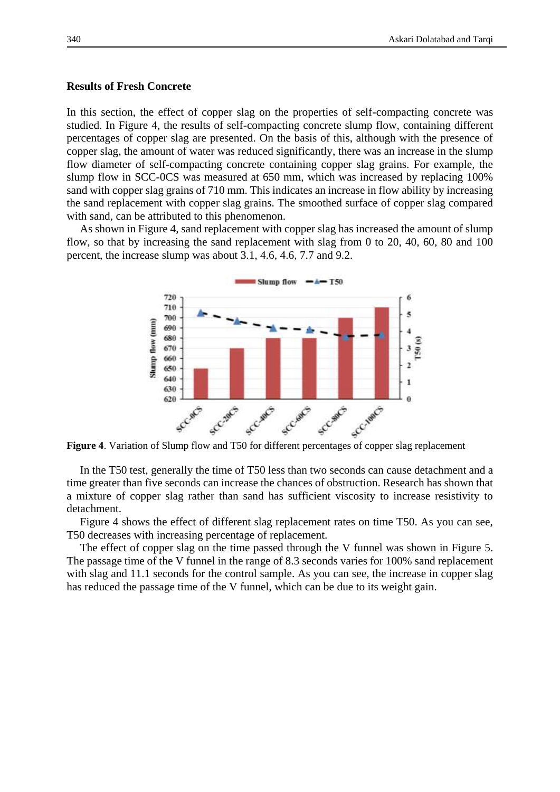#### **Results of Fresh Concrete**

In this section, the effect of copper slag on the properties of self-compacting concrete was studied. In Figure 4, the results of self-compacting concrete slump flow, containing different percentages of copper slag are presented. On the basis of this, although with the presence of copper slag, the amount of water was reduced significantly, there was an increase in the slump flow diameter of self-compacting concrete containing copper slag grains. For example, the slump flow in SCC-0CS was measured at 650 mm, which was increased by replacing 100% sand with copper slag grains of 710 mm. This indicates an increase in flow ability by increasing the sand replacement with copper slag grains. The smoothed surface of copper slag compared with sand, can be attributed to this phenomenon.

As shown in Figure 4, sand replacement with copper slag has increased the amount of slump flow, so that by increasing the sand replacement with slag from 0 to 20, 40, 60, 80 and 100 percent, the increase slump was about 3.1, 4.6, 4.6, 7.7 and 9.2.



In the T50 test, generally the time of T50 less than two seconds can cause detachment and a time greater than five seconds can increase the chances of obstruction. Research has shown that a mixture of copper slag rather than sand has sufficient viscosity to increase resistivity to detachment.

Figure 4 shows the effect of different slag replacement rates on time T50. As you can see, T50 decreases with increasing percentage of replacement.

The effect of copper slag on the time passed through the V funnel was shown in Figure 5. The passage time of the V funnel in the range of 8.3 seconds varies for 100% sand replacement with slag and 11.1 seconds for the control sample. As you can see, the increase in copper slag has reduced the passage time of the V funnel, which can be due to its weight gain.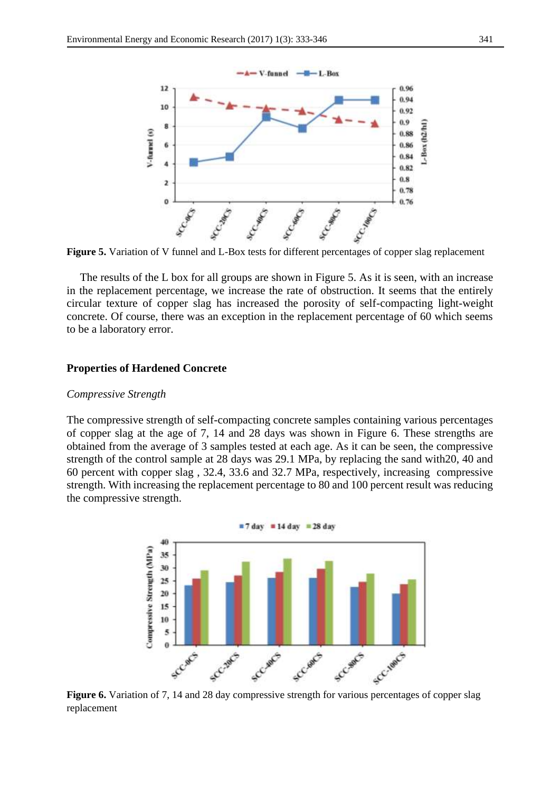

**Figure 5.** Variation of V funnel and L-Box tests for different percentages of copper slag replacement

The results of the L box for all groups are shown in Figure 5. As it is seen, with an increase in the replacement percentage, we increase the rate of obstruction. It seems that the entirely circular texture of copper slag has increased the porosity of self-compacting light-weight concrete. Of course, there was an exception in the replacement percentage of 60 which seems to be a laboratory error.

#### **Properties of Hardened Concrete**

#### *Compressive Strength*

The compressive strength of self-compacting concrete samples containing various percentages of copper slag at the age of 7, 14 and 28 days was shown in Figure 6. These strengths are obtained from the average of 3 samples tested at each age. As it can be seen, the compressive strength of the control sample at 28 days was 29.1 MPa, by replacing the sand with20, 40 and 60 percent with copper slag , 32.4, 33.6 and 32.7 MPa, respectively, increasing compressive strength. With increasing the replacement percentage to 80 and 100 percent result was reducing the compressive strength.



replacement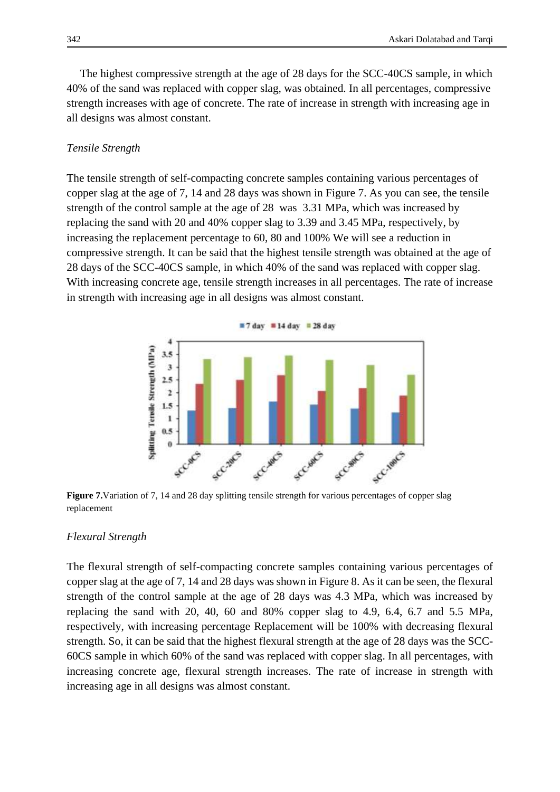The highest compressive strength at the age of 28 days for the SCC-40CS sample, in which 40% of the sand was replaced with copper slag, was obtained. In all percentages, compressive strength increases with age of concrete. The rate of increase in strength with increasing age in all designs was almost constant.

## *Tensile Strength*

The tensile strength of self-compacting concrete samples containing various percentages of copper slag at the age of 7, 14 and 28 days was shown in Figure 7. As you can see, the tensile strength of the control sample at the age of 28 was 3.31 MPa, which was increased by replacing the sand with 20 and 40% copper slag to 3.39 and 3.45 MPa, respectively, by increasing the replacement percentage to 60, 80 and 100% We will see a reduction in compressive strength. It can be said that the highest tensile strength was obtained at the age of 28 days of the SCC-40CS sample, in which 40% of the sand was replaced with copper slag. With increasing concrete age, tensile strength increases in all percentages. The rate of increase in strength with increasing age in all designs was almost constant.



**Figure 7.** Variation of 7, 14 and 28 day splitting tensile strength for various percentages of copper slag replacement

## *Flexural Strength*

The flexural strength of self-compacting concrete samples containing various percentages of copper slag at the age of 7, 14 and 28 days was shown in Figure 8. As it can be seen, the flexural strength of the control sample at the age of 28 days was 4.3 MPa, which was increased by replacing the sand with 20, 40, 60 and 80% copper slag to 4.9, 6.4, 6.7 and 5.5 MPa, respectively, with increasing percentage Replacement will be 100% with decreasing flexural strength. So, it can be said that the highest flexural strength at the age of 28 days was the SCC-60CS sample in which 60% of the sand was replaced with copper slag. In all percentages, with increasing concrete age, flexural strength increases. The rate of increase in strength with increasing age in all designs was almost constant.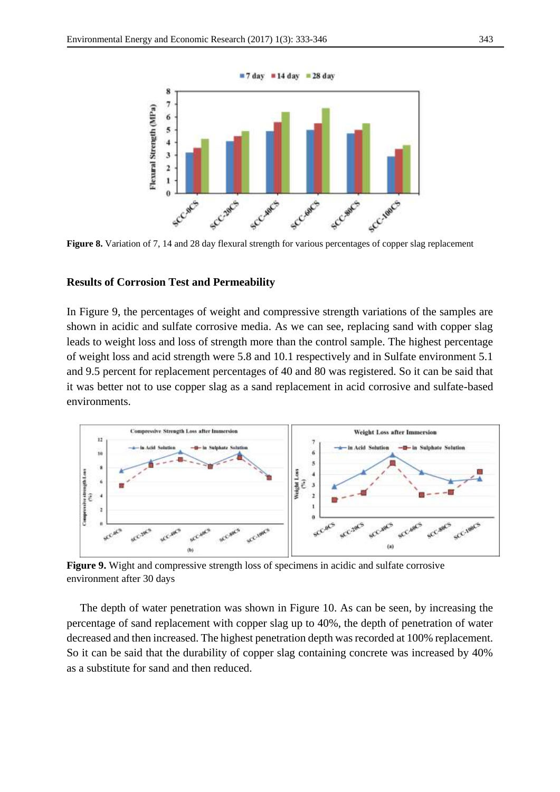

**Figure 8.** Variation of 7, 14 and 28 day flexural strength for various percentages of copper slag replacement

#### **Results of Corrosion Test and Permeability**

In Figure 9, the percentages of weight and compressive strength variations of the samples are shown in acidic and sulfate corrosive media. As we can see, replacing sand with copper slag leads to weight loss and loss of strength more than the control sample. The highest percentage of weight loss and acid strength were 5.8 and 10.1 respectively and in Sulfate environment 5.1 and 9.5 percent for replacement percentages of 40 and 80 was registered. So it can be said that it was better not to use copper slag as a sand replacement in acid corrosive and sulfate-based environments.



**Figure 9.** Wight and compressive strength loss of specimens in acidic and sulfate corrosive environment after 30 days

The depth of water penetration was shown in Figure 10. As can be seen, by increasing the percentage of sand replacement with copper slag up to 40%, the depth of penetration of water decreased and then increased. The highest penetration depth was recorded at 100% replacement. So it can be said that the durability of copper slag containing concrete was increased by 40% as a substitute for sand and then reduced.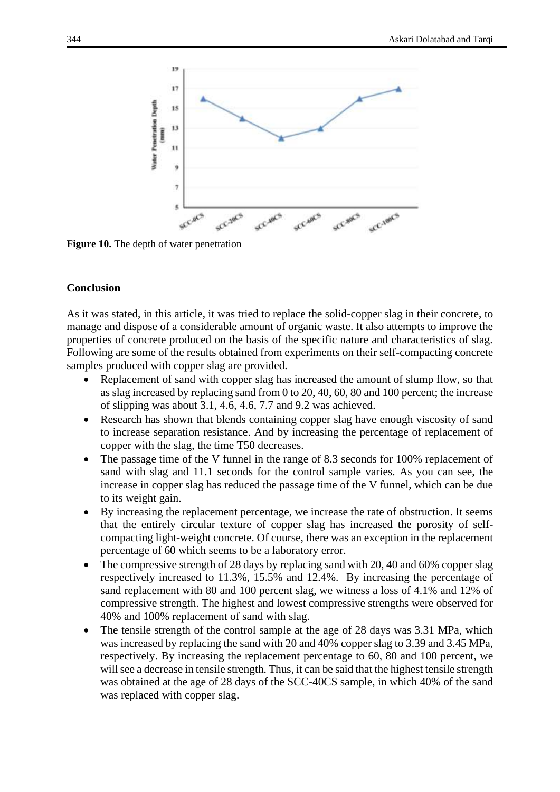

**Figure 10.** The depth of water penetration

## **Conclusion**

As it was stated, in this article, it was tried to replace the solid-copper slag in their concrete, to manage and dispose of a considerable amount of organic waste. It also attempts to improve the properties of concrete produced on the basis of the specific nature and characteristics of slag. Following are some of the results obtained from experiments on their self-compacting concrete samples produced with copper slag are provided.

- Replacement of sand with copper slag has increased the amount of slump flow, so that as slag increased by replacing sand from 0 to 20, 40, 60, 80 and 100 percent; the increase of slipping was about 3.1, 4.6, 4.6, 7.7 and 9.2 was achieved.
- Research has shown that blends containing copper slag have enough viscosity of sand to increase separation resistance. And by increasing the percentage of replacement of copper with the slag, the time T50 decreases.
- The passage time of the V funnel in the range of 8.3 seconds for 100% replacement of sand with slag and 11.1 seconds for the control sample varies. As you can see, the increase in copper slag has reduced the passage time of the V funnel, which can be due to its weight gain.
- By increasing the replacement percentage, we increase the rate of obstruction. It seems that the entirely circular texture of copper slag has increased the porosity of selfcompacting light-weight concrete. Of course, there was an exception in the replacement percentage of 60 which seems to be a laboratory error.
- The compressive strength of 28 days by replacing sand with 20, 40 and 60% copper slag respectively increased to 11.3%, 15.5% and 12.4%. By increasing the percentage of sand replacement with 80 and 100 percent slag, we witness a loss of 4.1% and 12% of compressive strength. The highest and lowest compressive strengths were observed for 40% and 100% replacement of sand with slag.
- The tensile strength of the control sample at the age of 28 days was 3.31 MPa, which was increased by replacing the sand with 20 and 40% copper slag to 3.39 and 3.45 MPa, respectively. By increasing the replacement percentage to 60, 80 and 100 percent, we will see a decrease in tensile strength. Thus, it can be said that the highest tensile strength was obtained at the age of 28 days of the SCC-40CS sample, in which 40% of the sand was replaced with copper slag.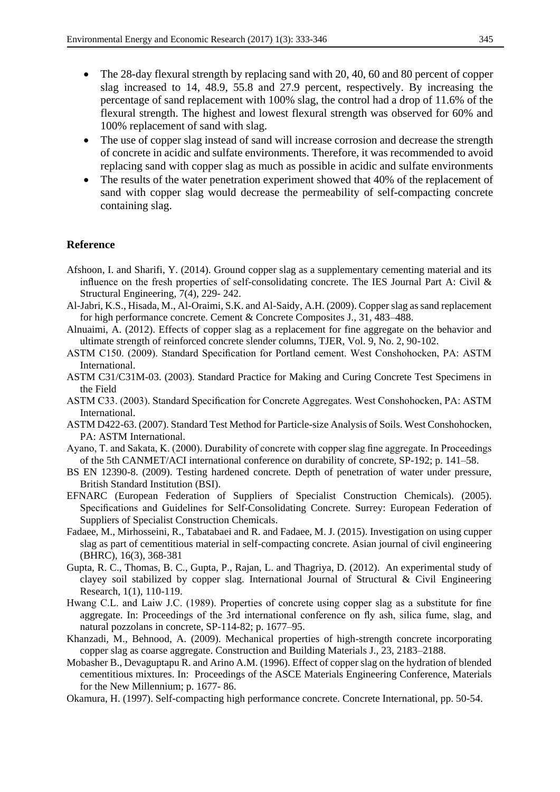- The 28-day flexural strength by replacing sand with 20, 40, 60 and 80 percent of copper slag increased to 14, 48.9, 55.8 and 27.9 percent, respectively. By increasing the percentage of sand replacement with 100% slag, the control had a drop of 11.6% of the flexural strength. The highest and lowest flexural strength was observed for 60% and 100% replacement of sand with slag.
- The use of copper slag instead of sand will increase corrosion and decrease the strength of concrete in acidic and sulfate environments. Therefore, it was recommended to avoid replacing sand with copper slag as much as possible in acidic and sulfate environments
- The results of the water penetration experiment showed that 40% of the replacement of sand with copper slag would decrease the permeability of self-compacting concrete containing slag.

#### **Reference**

- Afshoon, I. and Sharifi, Y. (2014). Ground copper slag as a supplementary cementing material and its influence on the fresh properties of self-consolidating concrete. The IES Journal Part A: Civil & Structural Engineering, 7(4), 229- 242.
- Al-Jabri, K.S., Hisada, M., Al-Oraimi, S.K. and Al-Saidy, A.H. (2009). Copper slag as sand replacement for high performance concrete. Cement & Concrete Composites J., 31, 483–488.
- Alnuaimi, A. (2012). Effects of copper slag as a replacement for fine aggregate on the behavior and ultimate strength of reinforced concrete slender columns, TJER, Vol. 9, No. 2, 90-102.
- ASTM C150. (2009). Standard Specification for Portland cement. West Conshohocken, PA: ASTM International.
- ASTM C31/C31M-03. (2003). Standard Practice for Making and Curing Concrete Test Specimens in the Field
- ASTM C33. (2003). Standard Specification for Concrete Aggregates. West Conshohocken, PA: ASTM International.
- ASTM D422-63. (2007). Standard Test Method for Particle-size Analysis of Soils. West Conshohocken, PA: ASTM International.
- Ayano, T. and Sakata, K. (2000). Durability of concrete with copper slag fine aggregate. In Proceedings of the 5th CANMET/ACI international conference on durability of concrete, SP-192; p. 141–58.
- BS EN 12390-8. (2009). Testing hardened concrete. Depth of penetration of water under pressure, British Standard Institution (BSI).
- EFNARC (European Federation of Suppliers of Specialist Construction Chemicals). (2005). Specifications and Guidelines for Self-Consolidating Concrete. Surrey: European Federation of Suppliers of Specialist Construction Chemicals.
- Fadaee, M., Mirhosseini, R., Tabatabaei and R. and Fadaee, M. J. (2015). Investigation on using cupper slag as part of cementitious material in self-compacting concrete. Asian journal of civil engineering (BHRC), 16(3), 368-381
- Gupta, R. C., Thomas, B. C., Gupta, P., Rajan, L. and Thagriya, D. (2012). An experimental study of clayey soil stabilized by copper slag. International Journal of Structural & Civil Engineering Research, 1(1), 110-119.
- Hwang C.L. and Laiw J.C. (1989). Properties of concrete using copper slag as a substitute for fine aggregate. In: Proceedings of the 3rd international conference on fly ash, silica fume, slag, and natural pozzolans in concrete, SP-114-82; p. 1677–95.
- Khanzadi, M., Behnood, A. (2009). Mechanical properties of high-strength concrete incorporating copper slag as coarse aggregate. Construction and Building Materials J., 23, 2183–2188.
- Mobasher B., Devaguptapu R. and Arino A.M. (1996). Effect of copper slag on the hydration of blended cementitious mixtures. In: Proceedings of the ASCE Materials Engineering Conference, Materials for the New Millennium; p. 1677- 86.
- Okamura, H. (1997). Self-compacting high performance concrete. Concrete International, pp. 50-54.